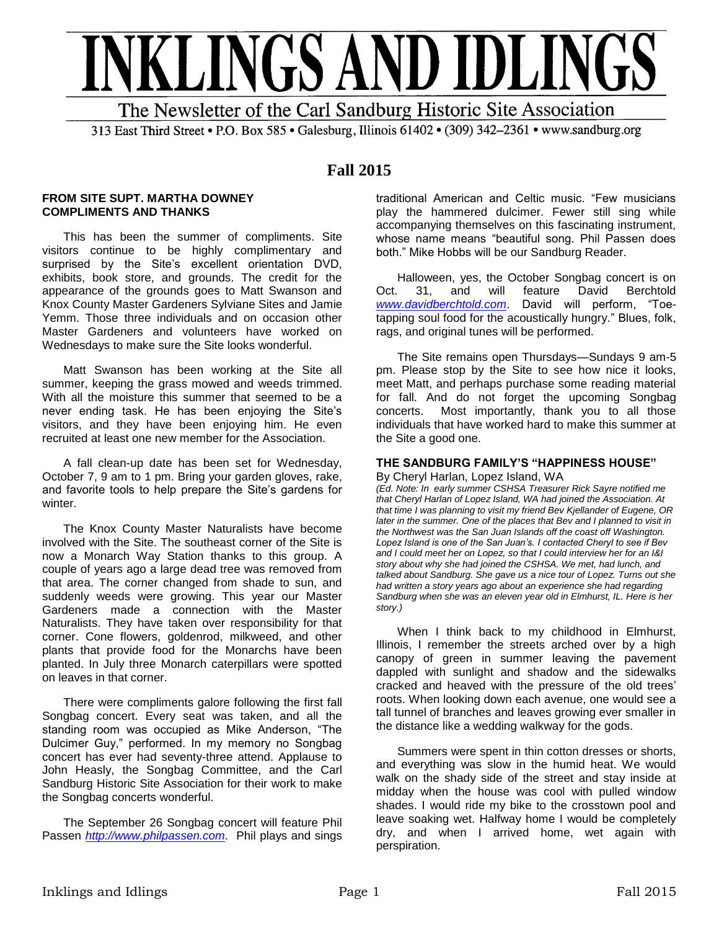

313 East Third Street • P.O. Box 585 • Galesburg, Illinois 61402 • (309) 342-2361 • www.sandburg.org

# **Fall 2015**

#### **FROM SITE SUPT. MARTHA DOWNEY COMPLIMENTS AND THANKS**

This has been the summer of compliments. Site visitors continue to be highly complimentary and surprised by the Site's excellent orientation DVD, exhibits, book store, and grounds. The credit for the appearance of the grounds goes to Matt Swanson and Knox County Master Gardeners Sylviane Sites and Jamie Yemm. Those three individuals and on occasion other Master Gardeners and volunteers have worked on Wednesdays to make sure the Site looks wonderful.

Matt Swanson has been working at the Site all summer, keeping the grass mowed and weeds trimmed. With all the moisture this summer that seemed to be a never ending task. He has been enjoying the Site's visitors, and they have been enjoying him. He even recruited at least one new member for the Association.

A fall clean-up date has been set for Wednesday, October 7, 9 am to 1 pm. Bring your garden gloves, rake, and favorite tools to help prepare the Site's gardens for winter.

The Knox County Master Naturalists have become involved with the Site. The southeast corner of the Site is now a Monarch Way Station thanks to this group. A couple of years ago a large dead tree was removed from that area. The corner changed from shade to sun, and suddenly weeds were growing. This year our Master Gardeners made a connection with the Master Naturalists. They have taken over responsibility for that corner. Cone flowers, goldenrod, milkweed, and other plants that provide food for the Monarchs have been planted. In July three Monarch caterpillars were spotted on leaves in that corner.

There were compliments galore following the first fall Songbag concert. Every seat was taken, and all the standing room was occupied as Mike Anderson, "The Dulcimer Guy," performed. In my memory no Songbag concert has ever had seventy-three attend. Applause to John Heasly, the Songbag Committee, and the Carl Sandburg Historic Site Association for their work to make the Songbag concerts wonderful.

The September 26 Songbag concert will feature Phil Passen *[http://www.philpassen.com](http://www.philpassen.com/)*. Phil plays and sings

traditional American and Celtic music. "Few musicians play the hammered dulcimer. Fewer still sing while accompanying themselves on this fascinating instrument, whose name means "beautiful song. Phil Passen does both." Mike Hobbs will be our Sandburg Reader.

Halloween, yes, the October Songbag concert is on Oct. 31, and will feature David Berchtold<br>www.davidberchtold.com. David will perform. "Toe-David will perform, "Toetapping soul food for the acoustically hungry." Blues, folk, rags, and original tunes will be performed.

The Site remains open Thursdays—Sundays 9 am-5 pm. Please stop by the Site to see how nice it looks, meet Matt, and perhaps purchase some reading material for fall. And do not forget the upcoming Songbag concerts. Most importantly, thank you to all those individuals that have worked hard to make this summer at the Site a good one.

# **THE SANDBURG FAMILY'S "HAPPINESS HOUSE"**

By Cheryl Harlan, Lopez Island, WA

*(Ed. Note: In early summer CSHSA Treasurer Rick Sayre notified me that Cheryl Harlan of Lopez Island, WA had joined the Association. At that time I was planning to visit my friend Bev Kjellander of Eugene, OR later in the summer. One of the places that Bev and I planned to visit in the Northwest was the San Juan Islands off the coast off Washington. Lopez Island is one of the San Juan's. I contacted Cheryl to see if Bev and I could meet her on Lopez, so that I could interview her for an I&I story about why she had joined the CSHSA. We met, had lunch, and talked about Sandburg. She gave us a nice tour of Lopez. Turns out she had written a story years ago about an experience she had regarding Sandburg when she was an eleven year old in Elmhurst, IL. Here is her story.)* 

When I think back to my childhood in Elmhurst, Illinois, I remember the streets arched over by a high canopy of green in summer leaving the pavement dappled with sunlight and shadow and the sidewalks cracked and heaved with the pressure of the old trees' roots. When looking down each avenue, one would see a tall tunnel of branches and leaves growing ever smaller in the distance like a wedding walkway for the gods.

Summers were spent in thin cotton dresses or shorts, and everything was slow in the humid heat. We would walk on the shady side of the street and stay inside at midday when the house was cool with pulled window shades. I would ride my bike to the crosstown pool and leave soaking wet. Halfway home I would be completely dry, and when I arrived home, wet again with perspiration.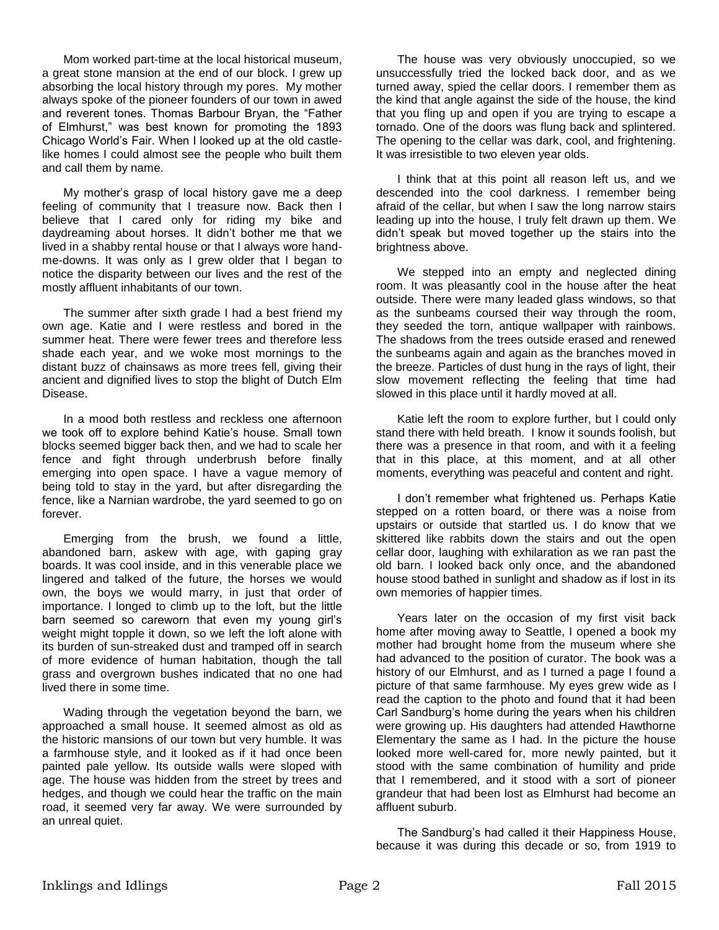Mom worked part-time at the local historical museum, a great stone mansion at the end of our block. I grew up absorbing the local history through my pores. My mother always spoke of the pioneer founders of our town in awed and reverent tones. Thomas Barbour Bryan, the "Father of Elmhurst," was best known for promoting the 1893 Chicago World's Fair. When I looked up at the old castlelike homes I could almost see the people who built them and call them by name.

My mother's grasp of local history gave me a deep feeling of community that I treasure now. Back then I believe that I cared only for riding my bike and daydreaming about horses. It didn't bother me that we lived in a shabby rental house or that I always wore handme-downs. It was only as I grew older that I began to notice the disparity between our lives and the rest of the mostly affluent inhabitants of our town.

The summer after sixth grade I had a best friend my own age. Katie and I were restless and bored in the summer heat. There were fewer trees and therefore less shade each year, and we woke most mornings to the distant buzz of chainsaws as more trees fell, giving their ancient and dignified lives to stop the blight of Dutch Elm Disease.

In a mood both restless and reckless one afternoon we took off to explore behind Katie's house. Small town blocks seemed bigger back then, and we had to scale her fence and fight through underbrush before finally emerging into open space. I have a vague memory of being told to stay in the yard, but after disregarding the fence, like a Narnian wardrobe, the yard seemed to go on forever.

Emerging from the brush, we found a little, abandoned barn, askew with age, with gaping gray boards. It was cool inside, and in this venerable place we lingered and talked of the future, the horses we would own, the boys we would marry, in just that order of importance. I longed to climb up to the loft, but the little barn seemed so careworn that even my young girl's weight might topple it down, so we left the loft alone with its burden of sun-streaked dust and tramped off in search of more evidence of human habitation, though the tall grass and overgrown bushes indicated that no one had lived there in some time.

Wading through the vegetation beyond the barn, we approached a small house. It seemed almost as old as the historic mansions of our town but very humble. It was a farmhouse style, and it looked as if it had once been painted pale yellow. Its outside walls were sloped with age. The house was hidden from the street by trees and hedges, and though we could hear the traffic on the main road, it seemed very far away. We were surrounded by an unreal quiet.

The house was very obviously unoccupied, so we unsuccessfully tried the locked back door, and as we turned away, spied the cellar doors. I remember them as the kind that angle against the side of the house, the kind that you fling up and open if you are trying to escape a tornado. One of the doors was flung back and splintered. The opening to the cellar was dark, cool, and frightening. It was irresistible to two eleven year olds.

I think that at this point all reason left us, and we descended into the cool darkness. I remember being afraid of the cellar, but when I saw the long narrow stairs leading up into the house, I truly felt drawn up them. We didn't speak but moved together up the stairs into the brightness above.

We stepped into an empty and neglected dining room. It was pleasantly cool in the house after the heat outside. There were many leaded glass windows, so that as the sunbeams coursed their way through the room, they seeded the torn, antique wallpaper with rainbows. The shadows from the trees outside erased and renewed the sunbeams again and again as the branches moved in the breeze. Particles of dust hung in the rays of light, their slow movement reflecting the feeling that time had slowed in this place until it hardly moved at all.

Katie left the room to explore further, but I could only stand there with held breath. I know it sounds foolish, but there was a presence in that room, and with it a feeling that in this place, at this moment, and at all other moments, everything was peaceful and content and right.

I don't remember what frightened us. Perhaps Katie stepped on a rotten board, or there was a noise from upstairs or outside that startled us. I do know that we skittered like rabbits down the stairs and out the open cellar door, laughing with exhilaration as we ran past the old barn. I looked back only once, and the abandoned house stood bathed in sunlight and shadow as if lost in its own memories of happier times.

Years later on the occasion of my first visit back home after moving away to Seattle, I opened a book my mother had brought home from the museum where she had advanced to the position of curator. The book was a history of our Elmhurst, and as I turned a page I found a picture of that same farmhouse. My eyes grew wide as I read the caption to the photo and found that it had been Carl Sandburg's home during the years when his children were growing up. His daughters had attended Hawthorne Elementary the same as I had. In the picture the house looked more well-cared for, more newly painted, but it stood with the same combination of humility and pride that I remembered, and it stood with a sort of pioneer grandeur that had been lost as Elmhurst had become an affluent suburb.

The Sandburg's had called it their Happiness House, because it was during this decade or so, from 1919 to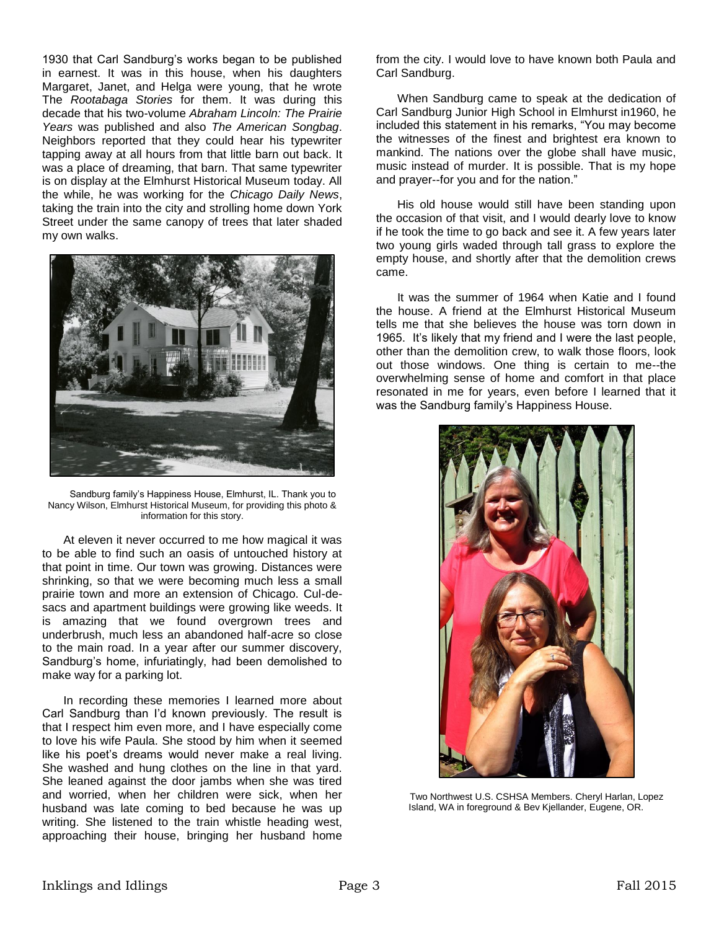1930 that Carl Sandburg's works began to be published in earnest. It was in this house, when his daughters Margaret, Janet, and Helga were young, that he wrote The *Rootabaga Stories* for them. It was during this decade that his two-volume *Abraham Lincoln: The Prairie Years* was published and also *The American Songbag*. Neighbors reported that they could hear his typewriter tapping away at all hours from that little barn out back. It was a place of dreaming, that barn. That same typewriter is on display at the Elmhurst Historical Museum today. All the while, he was working for the *Chicago Daily News*, taking the train into the city and strolling home down York Street under the same canopy of trees that later shaded my own walks.



Sandburg family's Happiness House, Elmhurst, IL. Thank you to Nancy Wilson, Elmhurst Historical Museum, for providing this photo & information for this story.

At eleven it never occurred to me how magical it was to be able to find such an oasis of untouched history at that point in time. Our town was growing. Distances were shrinking, so that we were becoming much less a small prairie town and more an extension of Chicago. Cul-desacs and apartment buildings were growing like weeds. It is amazing that we found overgrown trees and underbrush, much less an abandoned half-acre so close to the main road. In a year after our summer discovery, Sandburg's home, infuriatingly, had been demolished to make way for a parking lot.

In recording these memories I learned more about Carl Sandburg than I'd known previously. The result is that I respect him even more, and I have especially come to love his wife Paula. She stood by him when it seemed like his poet's dreams would never make a real living. She washed and hung clothes on the line in that yard. She leaned against the door jambs when she was tired and worried, when her children were sick, when her husband was late coming to bed because he was up writing. She listened to the train whistle heading west, approaching their house, bringing her husband home

from the city. I would love to have known both Paula and Carl Sandburg.

When Sandburg came to speak at the dedication of Carl Sandburg Junior High School in Elmhurst in1960, he included this statement in his remarks, "You may become the witnesses of the finest and brightest era known to mankind. The nations over the globe shall have music, music instead of murder. It is possible. That is my hope and prayer--for you and for the nation."

His old house would still have been standing upon the occasion of that visit, and I would dearly love to know if he took the time to go back and see it. A few years later two young girls waded through tall grass to explore the empty house, and shortly after that the demolition crews came.

It was the summer of 1964 when Katie and I found the house. A friend at the Elmhurst Historical Museum tells me that she believes the house was torn down in 1965. It's likely that my friend and I were the last people, other than the demolition crew, to walk those floors, look out those windows. One thing is certain to me--the overwhelming sense of home and comfort in that place resonated in me for years, even before I learned that it was the Sandburg family's Happiness House.



Two Northwest U.S. CSHSA Members. Cheryl Harlan, Lopez Island, WA in foreground & Bev Kjellander, Eugene, OR.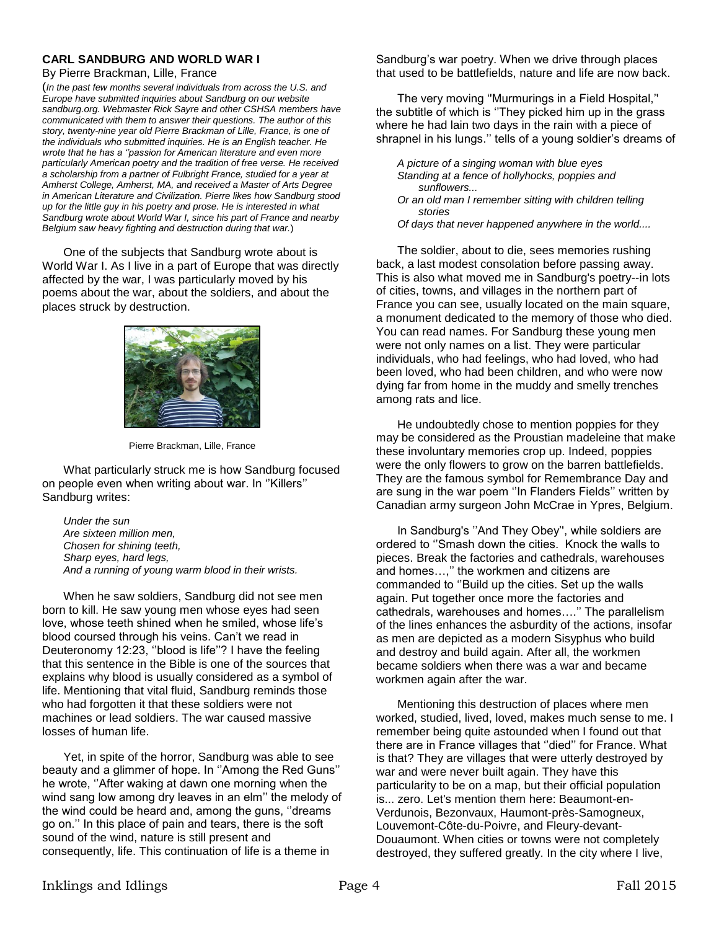# **CARL SANDBURG AND WORLD WAR I**

By Pierre Brackman, Lille, France

(*In the past few months several individuals from across the U.S. and Europe have submitted inquiries about Sandburg on our website sandburg.org. Webmaster Rick Sayre and other CSHSA members have communicated with them to answer their questions. The author of this story, twenty-nine year old Pierre Brackman of Lille, France, is one of the individuals who submitted inquiries. He is an English teacher. He wrote that he has a ''passion for American literature and even more particularly American poetry and the tradition of free verse. He received a scholarship from a partner of Fulbright France, studied for a year at Amherst College, Amherst, MA, and received a Master of Arts Degree in American Literature and Civilization. Pierre likes how Sandburg stood up for the little guy in his poetry and prose. He is interested in what Sandburg wrote about World War I, since his part of France and nearby Belgium saw heavy fighting and destruction during that war.*)

One of the subjects that Sandburg wrote about is World War I. As I live in a part of Europe that was directly affected by the war, I was particularly moved by his poems about the war, about the soldiers, and about the places struck by destruction.



Pierre Brackman, Lille, France

What particularly struck me is how Sandburg focused on people even when writing about war. In ''Killers'' Sandburg writes:

*Under the sun Are sixteen million men, Chosen for shining teeth, Sharp eyes, hard legs, And a running of young warm blood in their wrists.*

When he saw soldiers, Sandburg did not see men born to kill. He saw young men whose eyes had seen love, whose teeth shined when he smiled, whose life's blood coursed through his veins. Can't we read in Deuteronomy 12:23, ''blood is life''? I have the feeling that this sentence in the Bible is one of the sources that explains why blood is usually considered as a symbol of life. Mentioning that vital fluid, Sandburg reminds those who had forgotten it that these soldiers were not machines or lead soldiers. The war caused massive losses of human life.

Yet, in spite of the horror, Sandburg was able to see beauty and a glimmer of hope. In ''Among the Red Guns'' he wrote, ''After waking at dawn one morning when the wind sang low among dry leaves in an elm'' the melody of the wind could be heard and, among the guns, ''dreams go on.'' In this place of pain and tears, there is the soft sound of the wind, nature is still present and consequently, life. This continuation of life is a theme in

Sandburg's war poetry. When we drive through places that used to be battlefields, nature and life are now back.

The very moving ''Murmurings in a Field Hospital,'' the subtitle of which is ''They picked him up in the grass where he had lain two days in the rain with a piece of shrapnel in his lungs.'' tells of a young soldier's dreams of

- *A picture of a singing woman with blue eyes Standing at a fence of hollyhocks, poppies and sunflowers...*
- *Or an old man I remember sitting with children telling stories*

*Of days that never happened anywhere in the world....*

The soldier, about to die, sees memories rushing back, a last modest consolation before passing away. This is also what moved me in Sandburg's poetry--in lots of cities, towns, and villages in the northern part of France you can see, usually located on the main square, a monument dedicated to the memory of those who died. You can read names. For Sandburg these young men were not only names on a list. They were particular individuals, who had feelings, who had loved, who had been loved, who had been children, and who were now dying far from home in the muddy and smelly trenches among rats and lice.

He undoubtedly chose to mention poppies for they may be considered as the Proustian madeleine that make these involuntary memories crop up. Indeed, poppies were the only flowers to grow on the barren battlefields. They are the famous symbol for Remembrance Day and are sung in the war poem ''In Flanders Fields'' written by Canadian army surgeon John McCrae in Ypres, Belgium.

In Sandburg's ''And They Obey'', while soldiers are ordered to ''Smash down the cities. Knock the walls to pieces. Break the factories and cathedrals, warehouses and homes…,'' the workmen and citizens are commanded to ''Build up the cities. Set up the walls again. Put together once more the factories and cathedrals, warehouses and homes….'' The parallelism of the lines enhances the asburdity of the actions, insofar as men are depicted as a modern Sisyphus who build and destroy and build again. After all, the workmen became soldiers when there was a war and became workmen again after the war.

Mentioning this destruction of places where men worked, studied, lived, loved, makes much sense to me. I remember being quite astounded when I found out that there are in France villages that ''died'' for France. What is that? They are villages that were utterly destroyed by war and were never built again. They have this particularity to be on a map, but their official population is... zero. Let's mention them here: Beaumont-en-Verdunois, Bezonvaux, Haumont-près-Samogneux, Louvemont-Côte-du-Poivre, and Fleury-devant-Douaumont. When cities or towns were not completely destroyed, they suffered greatly. In the city where I live,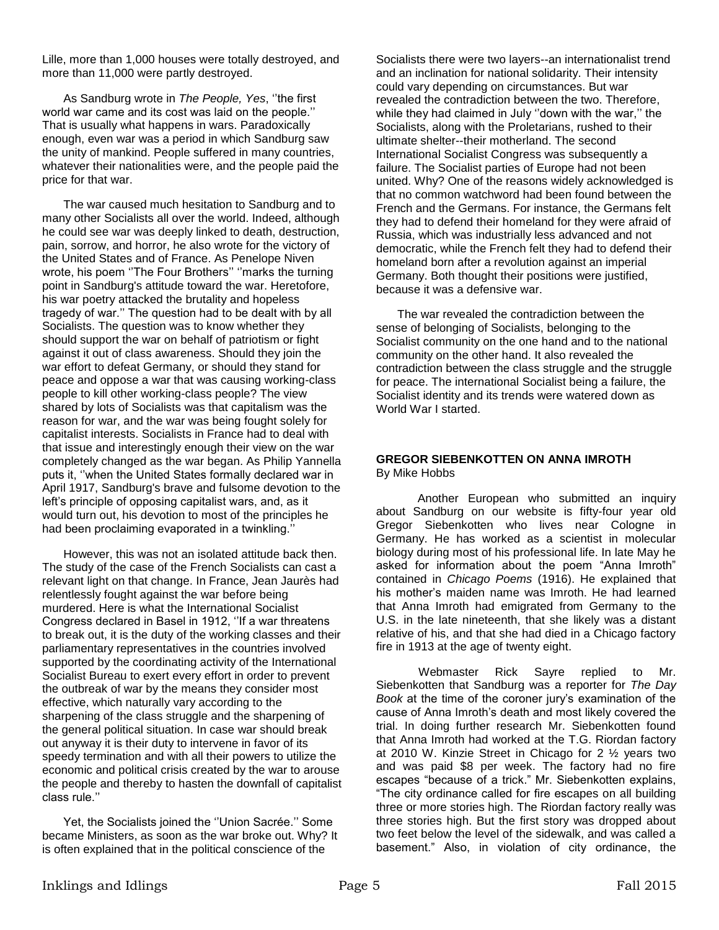Lille, more than 1,000 houses were totally destroyed, and more than 11,000 were partly destroyed.

As Sandburg wrote in *The People, Yes*, ''the first world war came and its cost was laid on the people.'' That is usually what happens in wars. Paradoxically enough, even war was a period in which Sandburg saw the unity of mankind. People suffered in many countries, whatever their nationalities were, and the people paid the price for that war.

The war caused much hesitation to Sandburg and to many other Socialists all over the world. Indeed, although he could see war was deeply linked to death, destruction, pain, sorrow, and horror, he also wrote for the victory of the United States and of France. As Penelope Niven wrote, his poem ''The Four Brothers'' ''marks the turning point in Sandburg's attitude toward the war. Heretofore, his war poetry attacked the brutality and hopeless tragedy of war.'' The question had to be dealt with by all Socialists. The question was to know whether they should support the war on behalf of patriotism or fight against it out of class awareness. Should they join the war effort to defeat Germany, or should they stand for peace and oppose a war that was causing working-class people to kill other working-class people? The view shared by lots of Socialists was that capitalism was the reason for war, and the war was being fought solely for capitalist interests. Socialists in France had to deal with that issue and interestingly enough their view on the war completely changed as the war began. As Philip Yannella puts it, ''when the United States formally declared war in April 1917, Sandburg's brave and fulsome devotion to the left's principle of opposing capitalist wars, and, as it would turn out, his devotion to most of the principles he had been proclaiming evaporated in a twinkling.''

However, this was not an isolated attitude back then. The study of the case of the French Socialists can cast a relevant light on that change. In France, Jean Jaurès had relentlessly fought against the war before being murdered. Here is what the International Socialist Congress declared in Basel in 1912, ''If a war threatens to break out, it is the duty of the working classes and their parliamentary representatives in the countries involved supported by the coordinating activity of the International Socialist Bureau to exert every effort in order to prevent the outbreak of war by the means they consider most effective, which naturally vary according to the sharpening of the class struggle and the sharpening of the general political situation. In case war should break out anyway it is their duty to intervene in favor of its speedy termination and with all their powers to utilize the economic and political crisis created by the war to arouse the people and thereby to hasten the downfall of capitalist class rule.''

Yet, the Socialists joined the ''Union Sacrée.'' Some became Ministers, as soon as the war broke out. Why? It is often explained that in the political conscience of the

Socialists there were two layers--an internationalist trend and an inclination for national solidarity. Their intensity could vary depending on circumstances. But war revealed the contradiction between the two. Therefore, while they had claimed in July ''down with the war,'' the Socialists, along with the Proletarians, rushed to their ultimate shelter--their motherland. The second International Socialist Congress was subsequently a failure. The Socialist parties of Europe had not been united. Why? One of the reasons widely acknowledged is that no common watchword had been found between the French and the Germans. For instance, the Germans felt they had to defend their homeland for they were afraid of Russia, which was industrially less advanced and not democratic, while the French felt they had to defend their homeland born after a revolution against an imperial Germany. Both thought their positions were justified, because it was a defensive war.

The war revealed the contradiction between the sense of belonging of Socialists, belonging to the Socialist community on the one hand and to the national community on the other hand. It also revealed the contradiction between the class struggle and the struggle for peace. The international Socialist being a failure, the Socialist identity and its trends were watered down as World War I started.

## **GREGOR SIEBENKOTTEN ON ANNA IMROTH**  By Mike Hobbs

Another European who submitted an inquiry about Sandburg on our website is fifty-four year old Gregor Siebenkotten who lives near Cologne in Germany. He has worked as a scientist in molecular biology during most of his professional life. In late May he asked for information about the poem "Anna Imroth" contained in *Chicago Poems* (1916). He explained that his mother's maiden name was Imroth. He had learned that Anna Imroth had emigrated from Germany to the U.S. in the late nineteenth, that she likely was a distant relative of his, and that she had died in a Chicago factory fire in 1913 at the age of twenty eight.

Webmaster Rick Sayre replied to Mr. Siebenkotten that Sandburg was a reporter for *The Day Book* at the time of the coroner jury's examination of the cause of Anna Imroth's death and most likely covered the trial. In doing further research Mr. Siebenkotten found that Anna Imroth had worked at the T.G. Riordan factory at 2010 W. Kinzie Street in Chicago for 2 ½ years two and was paid \$8 per week. The factory had no fire escapes "because of a trick." Mr. Siebenkotten explains, "The city ordinance called for fire escapes on all building three or more stories high. The Riordan factory really was three stories high. But the first story was dropped about two feet below the level of the sidewalk, and was called a basement." Also, in violation of city ordinance, the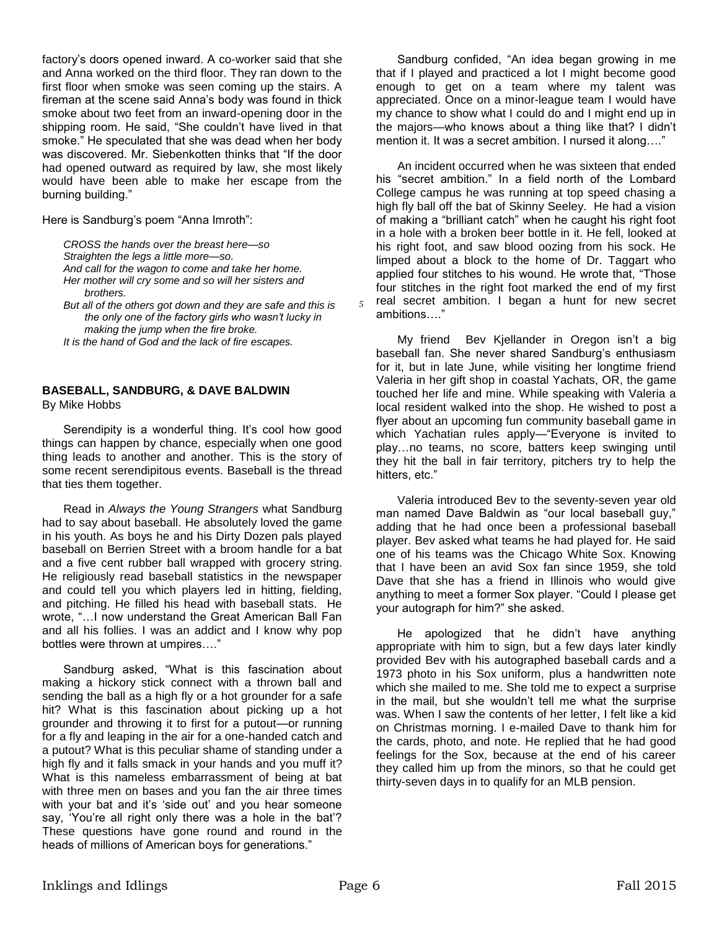factory's doors opened inward. A co-worker said that she and Anna worked on the third floor. They ran down to the first floor when smoke was seen coming up the stairs. A fireman at the scene said Anna's body was found in thick smoke about two feet from an inward-opening door in the shipping room. He said, "She couldn't have lived in that smoke." He speculated that she was dead when her body was discovered. Mr. Siebenkotten thinks that "If the door had opened outward as required by law, she most likely would have been able to make her escape from the burning building."

Here is Sandburg's poem "Anna Imroth":

*CROSS the hands over the breast here—so Straighten the legs a little more—so. And call for the wagon to come and take her home. Her mother will cry some and so will her sisters and brothers.*

*But all of the others got down and they are safe and this is the only one of the factory girls who wasn't lucky in making the jump when the fire broke.*

*It is the hand of God and the lack of fire escapes.*

### **BASEBALL, SANDBURG, & DAVE BALDWIN** By Mike Hobbs

Serendipity is a wonderful thing. It's cool how good things can happen by chance, especially when one good thing leads to another and another. This is the story of some recent serendipitous events. Baseball is the thread that ties them together.

Read in *Always the Young Strangers* what Sandburg had to say about baseball. He absolutely loved the game in his youth. As boys he and his Dirty Dozen pals played baseball on Berrien Street with a broom handle for a bat and a five cent rubber ball wrapped with grocery string. He religiously read baseball statistics in the newspaper and could tell you which players led in hitting, fielding, and pitching. He filled his head with baseball stats. He wrote, "…I now understand the Great American Ball Fan and all his follies. I was an addict and I know why pop bottles were thrown at umpires…."

Sandburg asked, "What is this fascination about making a hickory stick connect with a thrown ball and sending the ball as a high fly or a hot grounder for a safe hit? What is this fascination about picking up a hot grounder and throwing it to first for a putout—or running for a fly and leaping in the air for a one-handed catch and a putout? What is this peculiar shame of standing under a high fly and it falls smack in your hands and you muff it? What is this nameless embarrassment of being at bat with three men on bases and you fan the air three times with your bat and it's 'side out' and you hear someone say, 'You're all right only there was a hole in the bat'? These questions have gone round and round in the heads of millions of American boys for generations."

Sandburg confided, "An idea began growing in me that if I played and practiced a lot I might become good enough to get on a team where my talent was appreciated. Once on a minor-league team I would have my chance to show what I could do and I might end up in the majors—who knows about a thing like that? I didn't mention it. It was a secret ambition. I nursed it along…."

An incident occurred when he was sixteen that ended his "secret ambition." In a field north of the Lombard College campus he was running at top speed chasing a high fly ball off the bat of Skinny Seeley. He had a vision of making a "brilliant catch" when he caught his right foot in a hole with a broken beer bottle in it. He fell, looked at his right foot, and saw blood oozing from his sock. He limped about a block to the home of Dr. Taggart who applied four stitches to his wound. He wrote that, "Those four stitches in the right foot marked the end of my first real secret ambition. I began a hunt for new secret ambitions…."

My friend Bev Kjellander in Oregon isn't a big baseball fan. She never shared Sandburg's enthusiasm for it, but in late June, while visiting her longtime friend Valeria in her gift shop in coastal Yachats, OR, the game touched her life and mine. While speaking with Valeria a local resident walked into the shop. He wished to post a flyer about an upcoming fun community baseball game in which Yachatian rules apply—"Everyone is invited to play…no teams, no score, batters keep swinging until they hit the ball in fair territory, pitchers try to help the hitters, etc."

Valeria introduced Bev to the seventy-seven year old man named Dave Baldwin as "our local baseball guy," adding that he had once been a professional baseball player. Bev asked what teams he had played for. He said one of his teams was the Chicago White Sox. Knowing that I have been an avid Sox fan since 1959, she told Dave that she has a friend in Illinois who would give anything to meet a former Sox player. "Could I please get your autograph for him?" she asked.

He apologized that he didn't have anything appropriate with him to sign, but a few days later kindly provided Bev with his autographed baseball cards and a 1973 photo in his Sox uniform, plus a handwritten note which she mailed to me. She told me to expect a surprise in the mail, but she wouldn't tell me what the surprise was. When I saw the contents of her letter, I felt like a kid on Christmas morning. I e-mailed Dave to thank him for the cards, photo, and note. He replied that he had good feelings for the Sox, because at the end of his career they called him up from the minors, so that he could get thirty-seven days in to qualify for an MLB pension.

 *5*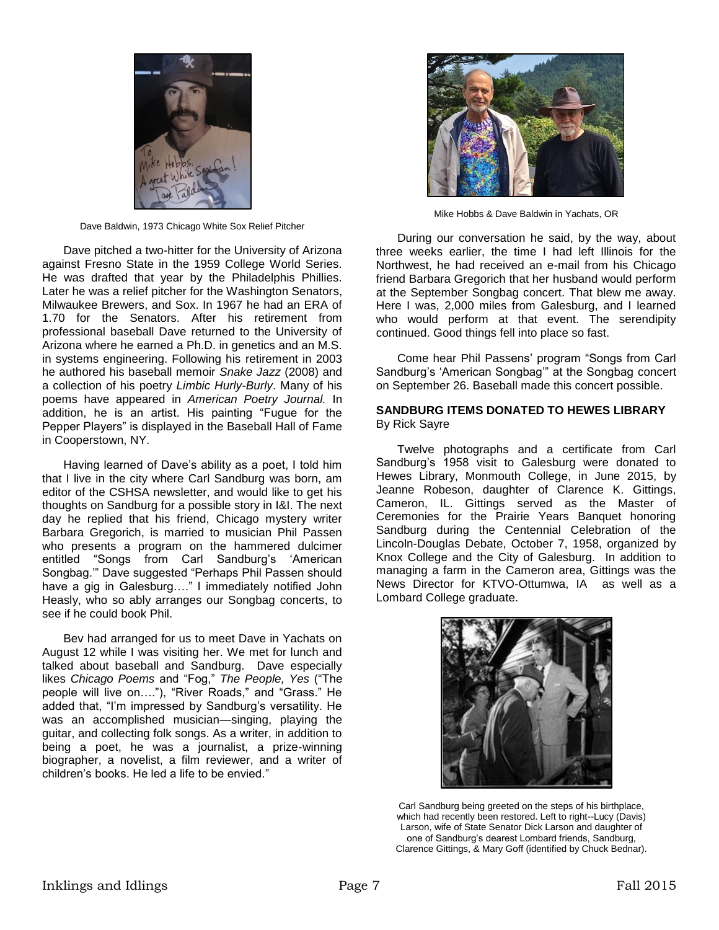

Dave Baldwin, 1973 Chicago White Sox Relief Pitcher

Dave pitched a two-hitter for the University of Arizona against Fresno State in the 1959 College World Series. He was drafted that year by the Philadelphis Phillies. Later he was a relief pitcher for the Washington Senators, Milwaukee Brewers, and Sox. In 1967 he had an ERA of 1.70 for the Senators. After his retirement from professional baseball Dave returned to the University of Arizona where he earned a Ph.D. in genetics and an M.S. in systems engineering. Following his retirement in 2003 he authored his baseball memoir *Snake Jazz* (2008) and a collection of his poetry *Limbic Hurly-Burly*. Many of his poems have appeared in *American Poetry Journal.* In addition, he is an artist. His painting "Fugue for the Pepper Players" is displayed in the Baseball Hall of Fame in Cooperstown, NY.

Having learned of Dave's ability as a poet, I told him that I live in the city where Carl Sandburg was born, am editor of the CSHSA newsletter, and would like to get his thoughts on Sandburg for a possible story in I&I. The next day he replied that his friend, Chicago mystery writer Barbara Gregorich, is married to musician Phil Passen who presents a program on the hammered dulcimer entitled "Songs from Carl Sandburg's 'American Songbag.'" Dave suggested "Perhaps Phil Passen should have a gig in Galesburg…." I immediately notified John Heasly, who so ably arranges our Songbag concerts, to see if he could book Phil.

Bev had arranged for us to meet Dave in Yachats on August 12 while I was visiting her. We met for lunch and talked about baseball and Sandburg. Dave especially likes *Chicago Poems* and "Fog," *The People, Yes* ("The people will live on…."), "River Roads," and "Grass." He added that, "I'm impressed by Sandburg's versatility. He was an accomplished musician—singing, playing the guitar, and collecting folk songs. As a writer, in addition to being a poet, he was a journalist, a prize-winning biographer, a novelist, a film reviewer, and a writer of children's books. He led a life to be envied."



Mike Hobbs & Dave Baldwin in Yachats, OR

During our conversation he said, by the way, about three weeks earlier, the time I had left Illinois for the Northwest, he had received an e-mail from his Chicago friend Barbara Gregorich that her husband would perform at the September Songbag concert. That blew me away. Here I was, 2,000 miles from Galesburg, and I learned who would perform at that event. The serendipity continued. Good things fell into place so fast.

Come hear Phil Passens' program "Songs from Carl Sandburg's 'American Songbag'" at the Songbag concert on September 26. Baseball made this concert possible.

## **SANDBURG ITEMS DONATED TO HEWES LIBRARY**  By Rick Sayre

Twelve photographs and a certificate from Carl Sandburg's 1958 visit to Galesburg were donated to Hewes Library, Monmouth College, in June 2015, by Jeanne Robeson, daughter of Clarence K. Gittings, Cameron, IL. Gittings served as the Master of Ceremonies for the Prairie Years Banquet honoring Sandburg during the Centennial Celebration of the Lincoln-Douglas Debate, October 7, 1958, organized by Knox College and the City of Galesburg. In addition to managing a farm in the Cameron area, Gittings was the News Director for KTVO-Ottumwa, IA as well as a Lombard College graduate.



Carl Sandburg being greeted on the steps of his birthplace, which had recently been restored. Left to right--Lucy (Davis) Larson, wife of State Senator Dick Larson and daughter of one of Sandburg's dearest Lombard friends, Sandburg, Clarence Gittings, & Mary Goff (identified by Chuck Bednar).